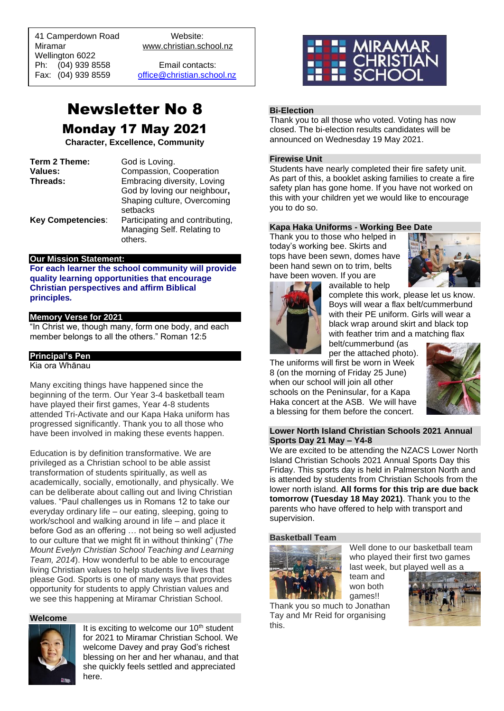41 Camperdown Road Website:<br>Miramar Www.christian.sc Wellington 6022 Ph: (04) 939 8558 Email contacts:

 $\overline{a}$ 

www.christian.school.nz

Fax: (04) 939 8559 [office@christian.school.nz](mailto:office@christian.school.nz)

# Newsletter No 8 Monday 17 May 2021

**Character, Excellence, Community**

| Term 2 Theme:            | God is Loving.                                                           |
|--------------------------|--------------------------------------------------------------------------|
| Values:                  | Compassion, Cooperation                                                  |
| Threads:                 | Embracing diversity, Loving                                              |
|                          | God by loving our neighbour,<br>Shaping culture, Overcoming<br>setbacks  |
| <b>Key Competencies:</b> | Participating and contributing,<br>Managing Self. Relating to<br>others. |

#### **Our Mission Statement:**

**For each learner the school community will provide quality learning opportunities that encourage Christian perspectives and affirm Biblical principles***.*

# **Memory Verse for 2021**

"In Christ we, though many, form one body, and each member belongs to all the others." Roman 12:5

## **Principal's Pen**

Kia ora Whānau

Many exciting things have happened since the beginning of the term. Our Year 3-4 basketball team have played their first games, Year 4-8 students attended Tri-Activate and our Kapa Haka uniform has progressed significantly. Thank you to all those who have been involved in making these events happen.

Education is by definition transformative. We are privileged as a Christian school to be able assist transformation of students spiritually, as well as academically, socially, emotionally, and physically. We can be deliberate about calling out and living Christian values. "Paul challenges us in Romans 12 to take our everyday ordinary life – our eating, sleeping, going to work/school and walking around in life – and place it before God as an offering … not being so well adjusted to our culture that we might fit in without thinking" (*The Mount Evelyn Christian School Teaching and Learning Team, 2014*). How wonderful to be able to encourage living Christian values to help students live lives that please God. Sports is one of many ways that provides opportunity for students to apply Christian values and we see this happening at Miramar Christian School.

#### **Welcome**



It is exciting to welcome our  $10<sup>th</sup>$  student for 2021 to Miramar Christian School. We welcome Davey and pray God's richest blessing on her and her whanau, and that she quickly feels settled and appreciated here.



## **Bi-Election**

Thank you to all those who voted. Voting has now closed. The bi-election results candidates will be announced on Wednesday 19 May 2021.

#### **Firewise Unit**

Students have nearly completed their fire safety unit. As part of this, a booklet asking families to create a fire safety plan has gone home. If you have not worked on this with your children yet we would like to encourage you to do so.

#### **Kapa Haka Uniforms - Working Bee Date**

Thank you to those who helped in today's working bee. Skirts and tops have been sewn, domes have been hand sewn on to trim, belts have been woven. If you are available to help





complete this work, please let us know. Boys will wear a flax belt/cummerbund with their PE uniform. Girls will wear a black wrap around skirt and black top with feather trim and a matching flax

belt/cummerbund (as per the attached photo).

The uniforms will first be worn in Week 8 (on the morning of Friday 25 June) when our school will join all other schools on the Peninsular, for a Kapa Haka concert at the ASB. We will have a blessing for them before the concert.



#### **Lower North Island Christian Schools 2021 Annual Sports Day 21 May – Y4-8**

We are excited to be attending the NZACS Lower North Island Christian Schools 2021 Annual Sports Day this Friday. This sports day is held in Palmerston North and is attended by students from Christian Schools from the lower north island. **All forms for this trip are due back tomorrow (Tuesday 18 May 2021)**. Thank you to the parents who have offered to help with transport and supervision.

> team and won both

#### **Basketball Team**



Well done to our basketball team who played their first two games last week, but played well as a

games!! Thank you so much to Jonathan Tay and Mr Reid for organising this.

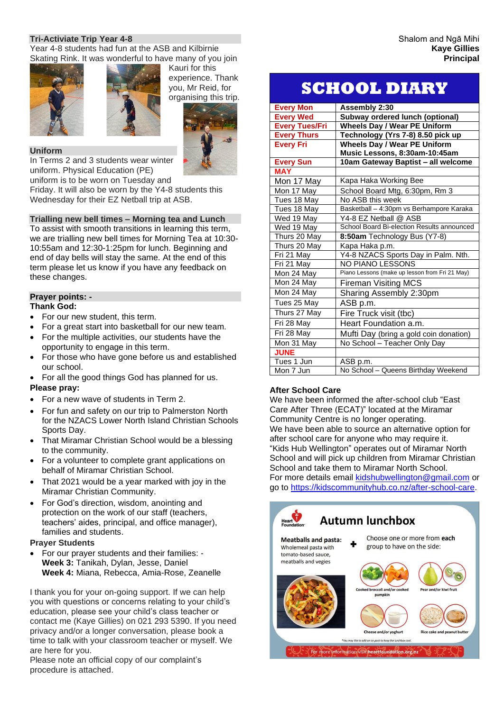## **Tri-Activiate Trip Year 4-8**

Year 4-8 students had fun at the ASB and Kilbirnie Skating Rink. It was wonderful to have many of you join





#### **Uniform**

In Terms 2 and 3 students wear winter uniform. Physical Education (PE) uniform is to be worn on Tuesday and

Friday. It will also be worn by the Y4-8 students this Wednesday for their EZ Netball trip at ASB.

#### **Trialling new bell times – Morning tea and Lunch**

To assist with smooth transitions in learning this term, we are trialling new bell times for Morning Tea at 10:30- 10:55am and 12:30-1:25pm for lunch. Beginning and end of day bells will stay the same. At the end of this term please let us know if you have any feedback on these changes.

#### **Prayer points: -**

#### **Thank God:**

- For our new student, this term.
- For a great start into basketball for our new team.
- For the multiple activities, our students have the opportunity to engage in this term.
- For those who have gone before us and established our school.
- For all the good things God has planned for us.

#### **Please pray:**

- For a new wave of students in Term 2.
- For fun and safety on our trip to Palmerston North for the NZACS Lower North Island Christian Schools Sports Day.
- That Miramar Christian School would be a blessing to the community.
- For a volunteer to complete grant applications on behalf of Miramar Christian School.
- That 2021 would be a year marked with joy in the Miramar Christian Community.
- For God's direction, wisdom, anointing and protection on the work of our staff (teachers, teachers' aides, principal, and office manager), families and students.

#### **Prayer Students**

• For our prayer students and their families: - **Week 3:** Tanikah, Dylan, Jesse, Daniel **Week 4:** Miana, Rebecca, Amia-Rose, Zeanelle

I thank you for your on-going support. If we can help you with questions or concerns relating to your child's education, please see your child's class teacher or contact me (Kaye Gillies) on 021 293 5390. If you need privacy and/or a longer conversation, please book a time to talk with your classroom teacher or myself. We are here for you.

Please note an official copy of our complaint's procedure is attached.

#### Shalom and Ngā Mihi **Kaye Gillies Principal**

# **SCHOOL DIARY**

| <b>Every Mon</b>      | Assembly 2:30                                  |
|-----------------------|------------------------------------------------|
| <b>Every Wed</b>      | Subway ordered lunch (optional)                |
| <b>Every Tues/Fri</b> | <b>Wheels Day / Wear PE Uniform</b>            |
| <b>Every Thurs</b>    | Technology (Yrs 7-8) 8.50 pick up              |
| <b>Every Fri</b>      | <b>Wheels Day / Wear PE Uniform</b>            |
|                       | Music Lessons, 8:30am-10:45am                  |
| <b>Every Sun</b>      | 10am Gateway Baptist - all welcome             |
| <b>MAY</b>            |                                                |
| Mon 17 May            | Kapa Haka Working Bee                          |
| Mon 17 May            | School Board Mtg, 6:30pm, Rm 3                 |
| Tues 18 May           | No ASB this week                               |
| Tues 18 May           | Basketball - 4:30pm vs Berhampore Karaka       |
| Wed 19 May            | Y4-8 EZ Netball @ ASB                          |
| Wed 19 May            | School Board Bi-election Results announced     |
| Thurs 20 May          | 8:50am Technology Bus (Y7-8)                   |
| Thurs 20 May          | Kapa Haka p.m.                                 |
| Fri 21 May            | Y4-8 NZACS Sports Day in Palm. Nth.            |
| Fri 21 May            | <b>NO PIANO LESSONS</b>                        |
| Mon 24 May            | Piano Lessons (make up lesson from Fri 21 May) |
| Mon 24 May            | <b>Fireman Visiting MCS</b>                    |
| Mon 24 May            | Sharing Assembly 2:30pm                        |
| Tues 25 May           | ASB p.m.                                       |
| Thurs 27 May          | Fire Truck visit (tbc)                         |
| Fri 28 May            | Heart Foundation a.m.                          |
| Fri 28 May            | Mufti Day (bring a gold coin donation)         |
| Mon 31 May            | No School - Teacher Only Day                   |
| <b>JUNE</b>           |                                                |
| Tues 1 Jun            | ASB p.m.                                       |
| Mon 7 Jun             | No School - Queens Birthday Weekend            |

#### **After School Care**

We have been informed the after-school club "East Care After Three (ECAT)" located at the Miramar Community Centre is no longer operating. We have been able to source an alternative option for after school care for anyone who may require it. "Kids Hub Wellington" operates out of Miramar North School and will pick up children from Miramar Christian School and take them to Miramar North School. For more details email [kidshubwellington@gmail.com](mailto:kidshubwellington@gmail.com) or go to [https://kidscommunityhub.co.nz/after-school-care.](https://kidscommunityhub.co.nz/after-school-care)

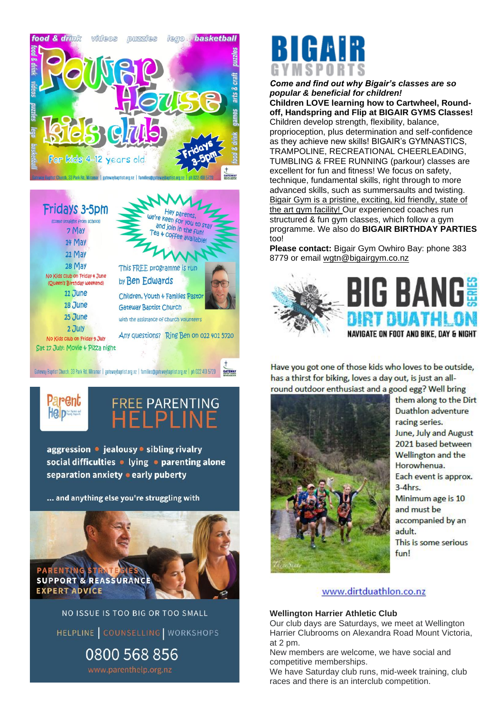



aggression • jealousy • sibling rivalry social difficulties . lying . parenting alone separation anxiety • early puberty

**REE PARENTING** 

... and anything else you're struggling with



NO ISSUE IS TOO BIG OR TOO SMALL HELPLINE COUNSELLING WORKSHOPS 0800 568 856



*Come and find out why Bigair's classes are so popular & beneficial for children!* **Children LOVE learning how to Cartwheel, Roundoff, Handspring and Flip at BIGAIR GYMS Classes!**  Children develop strength, flexibility, balance, proprioception, plus determination and self-confidence as they achieve new skills! BIGAIR's GYMNASTICS, TRAMPOLINE, RECREATIONAL CHEERLEADING, TUMBLING & FREE RUNNING (parkour) classes are excellent for fun and fitness! We focus on safety, technique, fundamental skills, right through to more advanced skills, such as summersaults and twisting. Bigair Gym is a pristine, exciting, kid friendly, state of the art gym facility! Our experienced coaches run structured & fun gym classes, which follow a gym programme. We also do **BIGAIR BIRTHDAY PARTIES**  too!

**Please contact:** Bigair Gym Owhiro Bay: phone 383 8779 or email [wgtn@bigairgym.co.nz](mailto:wgtn@bigairgym.co.nz)



Have you got one of those kids who loves to be outside, has a thirst for biking, loves a day out, is just an allround outdoor enthusiast and a good egg? Well bring



them along to the Dirt Duathlon adventure racing series. June, July and August 2021 based between Wellington and the Horowhenua. Each event is approx.  $3-4hr<sub>5</sub>$ Minimum age is 10 and must be accompanied by an adult. This is some serious fun!

# www.dirtduathlon.co.nz

# **Wellington Harrier Athletic Club**

Our club days are Saturdays, we meet at Wellington Harrier Clubrooms on Alexandra Road Mount Victoria, at 2 pm.

New members are welcome, we have social and competitive memberships.

We have Saturday club runs, mid-week training, club races and there is an interclub competition.